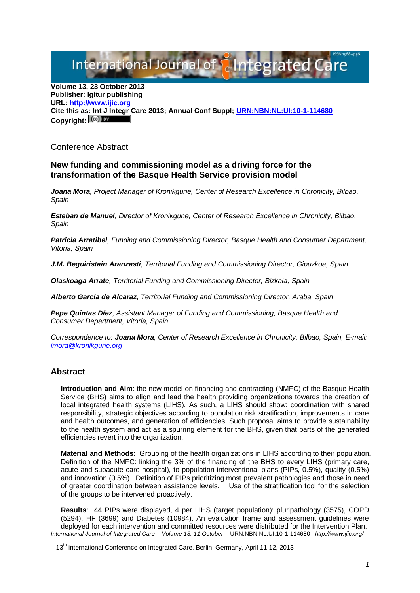## International Journal of **Plantegrated C**

**Volume 13, 23 October 2013 Publisher: Igitur publishing URL[: http://www.ijic.org](http://www.ijic.org/) Cite this as: Int J Integr Care 2013; Annual Conf Suppl; [URN:NBN:NL:UI:10-1-114680](http://persistent-identifier.nl/?identifier=URN:NBN:NL:UI:10-1-114680)** Copyright:  $(cc)$ 

Conference Abstract

## **New funding and commissioning model as a driving force for the transformation of the Basque Health Service provision model**

*Joana Mora, Project Manager of Kronikgune, Center of Research Excellence in Chronicity, Bilbao, Spain*

*Esteban de Manuel, Director of Kronikgune, Center of Research Excellence in Chronicity, Bilbao, Spain*

*Patricia Arratibel, Funding and Commissioning Director, Basque Health and Consumer Department, Vitoria, Spain*

*J.M. Beguiristain Aranzasti, Territorial Funding and Commissioning Director, Gipuzkoa, Spain*

*Olaskoaga Arrate, Territorial Funding and Commissioning Director, Bizkaia, Spain*

*Alberto Garcia de Alcaraz, Territorial Funding and Commissioning Director, Araba, Spain*

*Pepe Quintas Díez, Assistant Manager of Funding and Commissioning, Basque Health and Consumer Department, Vitoria, Spain*

*Correspondence to: Joana Mora, Center of Research Excellence in Chronicity, Bilbao, Spain, E-mail: [jmora@kronikgune.org](mailto:jmora@kronikgune.org)*

## **Abstract**

**Introduction and Aim**: the new model on financing and contracting (NMFC) of the Basque Health Service (BHS) aims to align and lead the health providing organizations towards the creation of local integrated health systems (LIHS). As such, a LIHS should show: coordination with shared responsibility, strategic objectives according to population risk stratification, improvements in care and health outcomes, and generation of efficiencies. Such proposal aims to provide sustainability to the health system and act as a spurring element for the BHS, given that parts of the generated efficiencies revert into the organization.

**Material and Methods**: Grouping of the health organizations in LIHS according to their population. Definition of the NMFC: linking the 3% of the financing of the BHS to every LIHS (primary care, acute and subacute care hospital), to population interventional plans (PIPs, 0.5%), quality (0.5%) and innovation (0.5%). Definition of PIPs prioritizing most prevalent pathologies and those in need of greater coordination between assistance levels. Use of the stratification tool for the selection of the groups to be intervened proactively.

**Results**: 44 PIPs were displayed, 4 per LIHS (target population): pluripathology (3575), COPD (5294), HF (3699) and Diabetes (10984). An evaluation frame and assessment guidelines were deployed for each intervention and committed resources were distributed for the Intervention Plan. *International Journal of Integrated Care – Volume 13, 11 October –* URN:NBN:NL:UI:10-1-114680*– http://www.ijic.org/*

13<sup>th</sup> international Conference on Integrated Care, Berlin, Germany, April 11-12, 2013